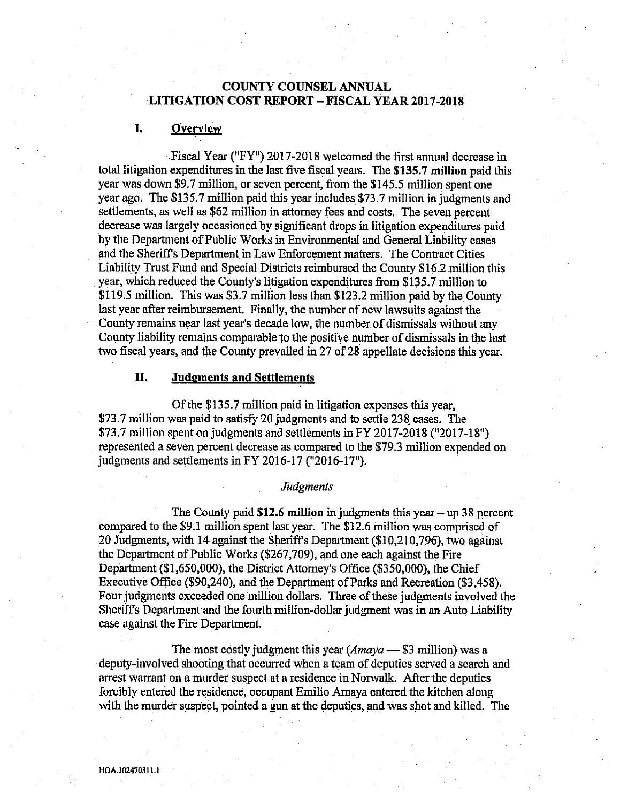# COUNTY COUNSEL ANNQAL LITIGATION COST REPORT —FISCAL YEAR 2017-2018

## I. Overview

Fiscal Year ("FY") 2017-2018 welcomed the first annual. decrease in total litigation expenditures in the last five fiscal years. The \$135.7 million paid this year was down \$9.7 million, or seven percent, from the \$145.5 million spent one yeaz ago.' The \$135.7 million paid this yeaz includes \$73.7 million in judgments and settlements, as well as \$62 million in attorney fees and costs. The seven percent decrease was largely occasioned by significant drops in litigation expenditures paid by the Department of Public Works in Environmental and General Liability cases and the Sheriffs Department in Law Enforcement matters. The Contract Cifies Liability Trust Fund and Special Districts reimbursed the County \$16.2 million this year, which reduced the County's litigation expenditures from \$135.7 million to \$119.5 million. This was \$3.7 million less than \$123.2 million paid by the County last year after reimbursement. Finally, the number of new lawsuits against the County remains near last year's decade low, the number of dismissals without any County liability remains comparable to the positive number of dismissals in the last two fiscal yeazs, and the County prevailed in 27 of 28 appellate decisions this year.

### II. Judgments and Settlements

Of the \$135.7 million paid in litigation expenses this year, \$73.7 million was paid to satisfy 20 judgments and to settle 238 cases. The \$73.7 million spent on judgments and settlements in FY 2017-2018 ("2017-18") represented a seven percent decrease as compared to the \$79.3 million expended on judgments and settlements in FY 2016-17 ("2016-17"}.

#### Judgments

The County paid  $$12.6$  million in judgments this year  $-$  up 38 percent compared to the \$9.1 million spent last year. The \$12.6 million was comprised of 20 Judgments;with 14 against the Sheriffs Department (\$10,210,796), two against the Department of Public Works (\$267,709), and one each against the Fire Department (\$1,650,000), the District Attorney's Office (\$350,000), the Chief Executive Office (\$90,240), and the Department of Pazks and Recreation (\$3,458). Four judgments exceeded one million dollazs. Three of these judgments involved the Sheriffs Department and the fourth million-dollaz judgment was in an Auto Liability case against the Fire Department.

The most costly judgment this year  $(Am\alpha y^2 - 33)$  million) was a deputy-involved shooting that occurred when a team of deputies served a seazch and arrest warrant on a murder suspect at a residence in Norwalk. After the depufies forcibly entered the residence, occupant Emilio Amaya entered the kitchen along with the murder suspect, pointed a gun. at the deputies, and was shot and killed. The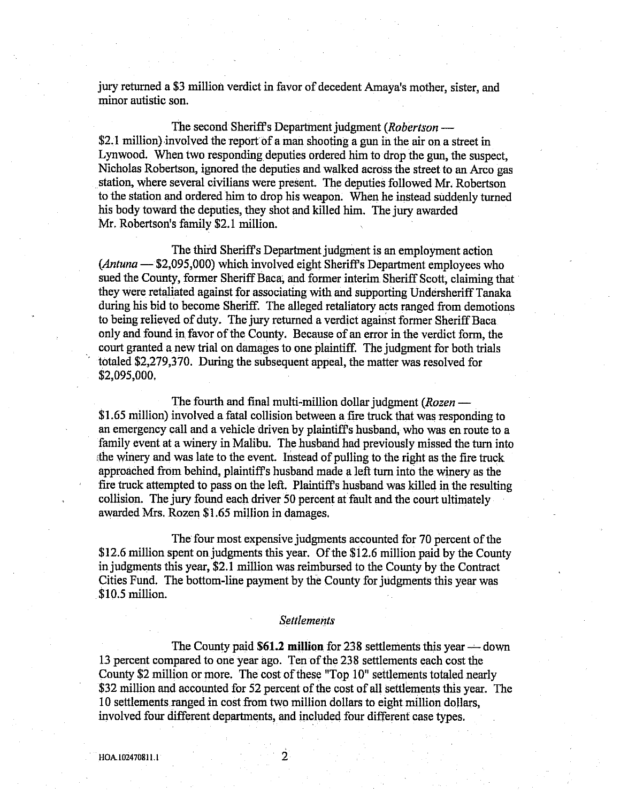jury returned a \$3 million verdict in favor of decedent Amaya's mother, sister, and minor autistic son.

The second Sheriff's Department judgment (Robertson — \$2.1 million) involved the report of a man shooting a gun in the air on a street in Lynwood. When two responding. deputies ordered him to drop the gun, the suspect, Nicholas Robertson, ignored the depufies and walked across fhe street to an Arco gas station, where several civilians were present. The deputies followed Mr. Robertson to the station and ordered him to drop his weapon. When he instead suddenly turned his body toward the deputies, they shot and killed him. The jury awazded Mr. Robertson's family \$2.1 million.

The third SherifFs Department judgment is an employment action (Antuna — \$2,095,000) which involved eight Sheriffs Department employees who sued the County, former Sheriff Baca, and former interim Sheriff Scott, claiming that they were retaliated against for associating with and supporting Undersheriff Tanaka during his bid to become Sheriff. The alleged retaliatory acts ranged from demotions to being relieved of duty. The jury returned a verdict against former Sheriff Baca only and found in favor of the County. Because of an error in the verdict form, the court granted a new trial on damages to one plaintiff. The judgment for both trials totaled \$2,279,370. During the subsequent apgeal, the matter was resolved for \$2,095,000,

The fourth and final multi-million dollar judgment (Rozen — \$1.65 million) involved a fatal collision between a fire truck that was responding to an emergency call and a vehicle driven by plaintiffs husband;who was en route to a family event at a winery in Malibu. The husband had previously missed the turn into the winery and was late to the event. Instead of pulling to the right as the fire truck approached from behind, plaintiff's husband made a left turn into the winery as the fire truck attempted to pass on the left. Plaintiff's husband was killed in the resulting collision. The jury found each driver 50 percent at fault and the court ultimately awarded Mrs. Rozen \$1.65 million in damages.

The four most expensive judgments accounted for 70 percent of the \$12.6 million spent on judgments this year. Of the \$12.6 million paid by the County in judgments this year, \$2.1 million. was reimbursed to the County by the Contract Cities Fund. The bottom-line payment by the County for judgments this year was .\$10.5 million.

#### **Settlements**

The County paid  $$61.2$  million for 238 settlements this year — down 13 percent compazed to one yeaz ago. Ten of the 238 settlements each cost the County \$2 million or more. The cost of these "Top 10" settlements totaled neazly \$32 million and accounted for 52 percent of the cost of all settlements this year. The 10 settlements ranged in cost from two million dollars to eight million dollars, involved four different depaztments, and included four different case types.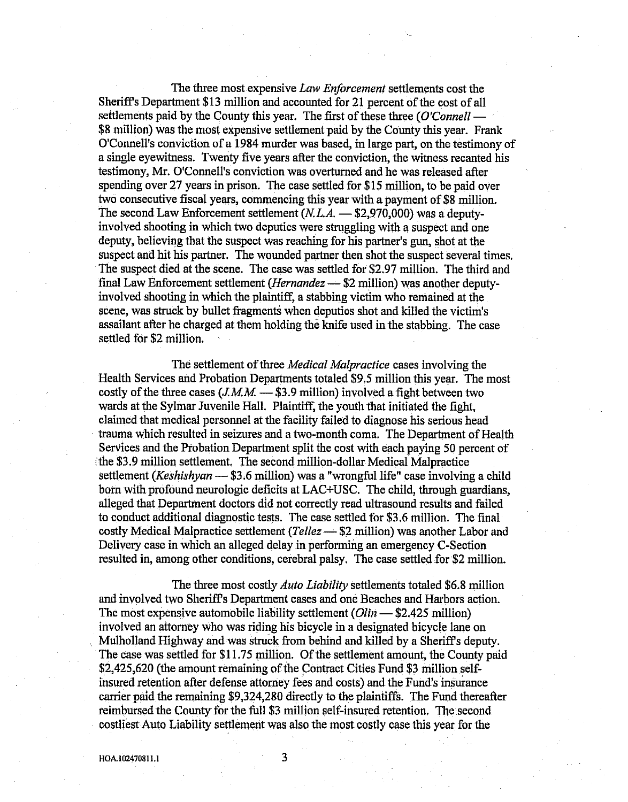The three most expensive Law Enforcement settlements cost the Sheriff's Department \$13 million and accounted for 21 percent of the cost of all settlements paid by the County this year. The first of these three  $(O'Connell$ — \$8 million) was the most expensive settlement paid by the County this year. Frank O'Connell's conviction of a 1984 murder was based, in lazge part, on the testimony of a single evewitness. Twenty five years after the conviction, the witness recanted his testimony, Mr. O'Connell's conviction was overturned and he was released after spending over 27 yeazs in prison. The case settled for \$15 million, to be paid over two consecutive fiscal years, commencing this year with a payment of \$8 million. The second Law Enforcement settlement  $(N, L.A. - $2,970,000)$  was a deputyinvolved shooting in which two deputies were struggling with a suspect and one deputy, believing that the suspect was reaching for his paztner's gun, shot at the suspect and hit his partner. The wounded partner then shot the suspect several times. The suspect died at the scene. The case was settled for \$2.97 million. The third and final Law Enforcement settlement (Hernandez — \$2 million) was another deputyinvolved shooting in which the plaintiff, a stabbing vicfim who remained at the scene, was struck by bullet fragments when deputies shot and killed the vicrim's assailant after he charged at them holding the knife used in the stabbing. The case settled for \$2 million.

The settlement of three *Medical Malpractice* cases involving the Health Services and Probation Deparknents totaled \$9.5 million this year. The most costly of the three cases  $(J.M.M. \longrightarrow $3.9 \text{ million})$  involved a fight between two wazds at the Sylmar Juvenile Hall. Plaintiff, the youth that initiated the fight, claimed that medical personnel at the facility failed to diagnose his serious head trauma which resulted in seizures and a two-month coma. The Department of Health Services and the Probation Department split the cost with each paying 50 percent of the \$3.9 million settlement. The second million-dollar Medical Malpractice settlement (Keshishyan — \$3.6 million) was a "wrongful life" case involving a child born with profound neurologic deficits at LAC+USC. The child, through guardians, alleged that Department doctors did not correctly read ultrasound results and failed to conduct additional diagnostic tests. The case settled for \$3.6 million. The final costly Medical Malpractice settlement (Tellez  $\rightarrow$  \$2 million) was another Labor and Delivery case in which an alleged delay in performing an emergency C-Section resulted in, among other conditions, cerebral palsy. The case settled for \$2 million.

The three most costly *Auto Liability* settlements totaled \$6.8 million and involved two Sheriffs Department cases and one Beaches and Harbors action. The most expensive automobile liability settlement  $(Olin - $2,425$  million) involved an attorney who was riding his bicycle in a designated bicycle lane on Mulholland Highway and was struck from behind and killed by a SherifFs deputy. The case was settled for \$11.75 million. Of the settlement amount, the County paid \$2,425,620 {the amount remaining of the Contract Cities Fund \$3 million selfinsured retention after defense attorney fees and costs) and the Fund's insurance carrier paid the remaining \$9,324,280 directly to the plaintiffs. The Fund thereafter reimbursed the County for the full \$3 million self-insured retention. The second costliest Auto Liability settlement was also the most costly case this year for the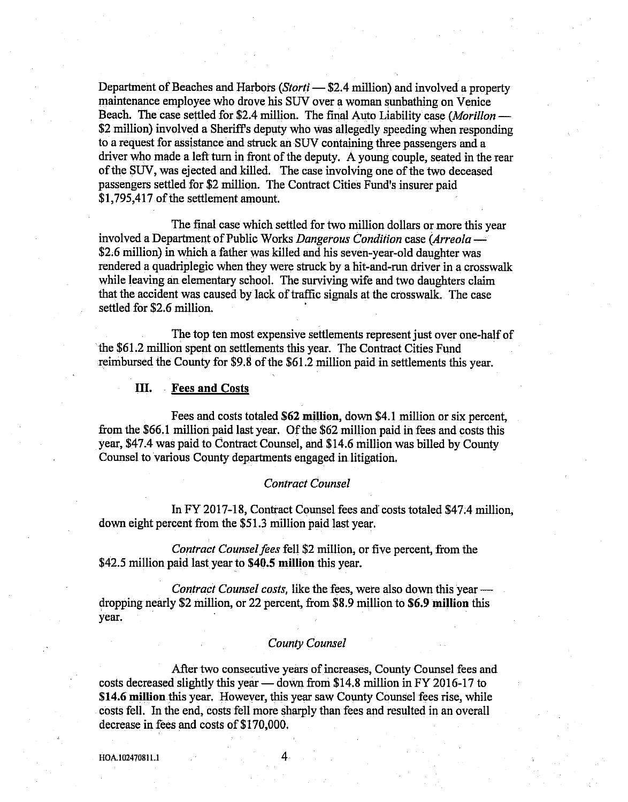Department of Beaches and Harbors (*Storti* - \$2.4 million) and involved a property maintenance employee who drove his SUV over a woman sunbathing on Venice Beach. The case settled for \$2.4 million. The final Auto Liability case (Morillon — \$2 million) involved a Sheriff's deputy who was allegedly speeding when responding to a request for assistance and struck an SUV containing three passengers and a driver who made a left turn in front of the deputy. A young couple, seated in the rear of the SUV, was ejected and killed. The case involving one of the two deceased passengers settled for \$2 million. The Contract Cities Fund's insurer paid \$1,795,417 of the settlement amount.

The final case which settled for two million dollars or more this yeaz involved a Department of Public Works Dangerous Condition case (Arreola — \$2.6 million) in which a father was killed and his seven-year-old daughter was rendered a quadriplegic when they were struck by a hit-and-run driver in a crosswalk while leaving an elementary school. The surviving wife and two daughters claim that the accident was caused by lack of traffic signals at the crosswalk. The case settled for \$2.6 million.

The top ten most expensive settlements represent just over one-half of 'the \$61.2 million spent on settlements this year. The Contract Cities Fund reimbursed the County for \$9.8 of the \$61.2 million paid in settlements this year.

#### III. .Fees and Costs

Fees and costs totaled \$62 million, down \$4.1 million or six percent, from the \$66.1 million paid last yeaz. Of the \$62 million paid in fees and costs this year, \$47.4 was paid to Contract Gounsei, and \$14.6 million. was billed by County Counsel to various County departments engaged in litigation.

#### Contract Counsel

In FY 2017-18, Contract Counsel fees and costs totaled \$47.4 million, down eight percent from the \$513 million paid last year.

Contract Counsel fees fell \$2 million, or five percent, from the \$42.5 million paid last year to \$40.5 million this year.

Contract Counsel costs, like the fees, were also down this year dropping neazly \$2 million, or 22 percent, from \$8.9 million to 56.9 million this year.

### County Counsel

After two consecutive years of increases, County Counsel fees and costs decreased slightly this year — down from \$14,8 million in FY 2016-17 to \$14.6 million this year. However, this year saw County Counsel fees rise, while costs fell. In the end, costs fell more sharply than fees and resulted in an overall decrease in fees and costs of \$170,000.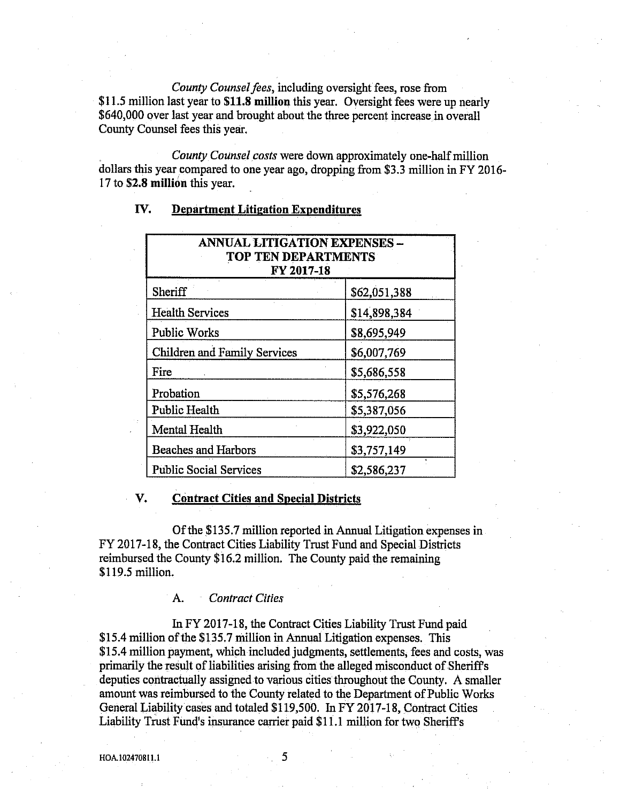County Counsel fees, including oversight fees, rose from \$11.5 million last year to \$11.8 million this year. Oversight fees were up nearly \$640,000 over last year and brought about the three percent increase in overall County Counsel fees this year.

County Counsel costs were down approximately one-half million dollars this year compared to one year ago, dropping from \$3.3 million in FY 2016-17 to **\$2.8 million** this year.

| ANNUAL LITIGATION EXPENSES -<br><b>TOP TEN DEPARTMENTS</b><br>FY 2017-18 |              |
|--------------------------------------------------------------------------|--------------|
| Sheriff                                                                  | \$62,051,388 |
| <b>Health Services</b>                                                   | \$14,898,384 |
| <b>Public Works</b>                                                      | \$8,695,949  |
| <b>Children and Family Services</b>                                      | \$6,007,769  |
| Fire                                                                     | \$5,686,558  |
| Probation                                                                | \$5,576,268  |
| <b>Public Health</b>                                                     | \$5,387,056  |
| Mental Health                                                            | \$3,922,050  |
| <b>Beaches and Harbors</b>                                               | \$3,757,149  |
| <b>Public Social Services</b>                                            | \$2,586,237  |

# IV. Department Litigation Expenditures

#### V. Contract Cities and Special Districts

Of the \$135.7 million reported in Annual Litigation expenses in FY 2017-18, the Contract Cities Liability Trust Fund and Special Districts reimbursed the County \$16.2 million. The County paid the remaining \$119.5 million.

A. Contract Cities

In FY 2017-18, the Contract Cities Liability Trust Fund paid \$15.4 million of the \$135.7 million in Annual Litigation expenses. This \$15.4 million payment, which included judgments, settlements, fees and costs, was primarily the result of liabilities arising from the alleged misconduct of Sheriffs deputies contractually assigned to various cities throughout the County. A smaller amount was reimbursed to the County related to the Department of Public Works General Liability cases and totaled \$119,500. In FY 2017-18, Contract Cities Liability Trust Fund's insurance carrier paid \$11.1 million for two Sheriff's

5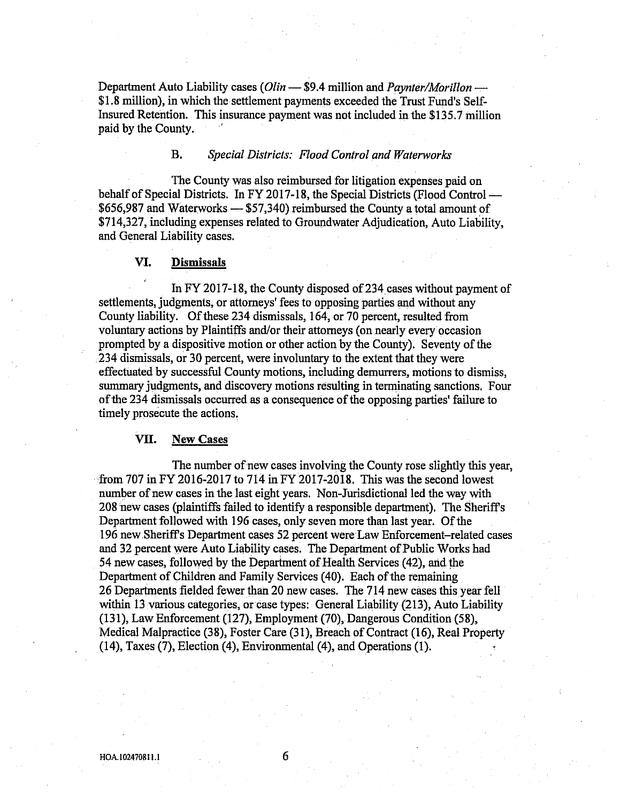Department Auto Liability cases  $(Olin - $9.4$  million and *Paynter/Morillon* — \$1.8 million), in whioh the settlement gayments exceeded the Trust Fund's Self-Insured Retention. This insurance payment was not included in the \$135.7 million paid by the County.

## B. Special Districts: Flood Control and Waterworks

The County was also reimbursed for litigation expenses paid on behalf of Special Districts. In FY 2017-18, the Special Districts (Flood Control — \$656,987 and Waterworks — \$57,340) reimbursed the County a total amount of \$714,327, including expenses related to Groundwater Adjudicarion, Auto Liability, and General Liability cases.

#### VI. Dismissals

In FY 2017-18, the County disposed of 234 cases without payment of settlements, judgments, or attorneys' fees to ogposing parties and without any County liability. Of these 234 dismissals, 164, or 70 percent, resulted from voluntary actions by Plainfiffs and/or their attorneys (on neazly everyoccasion prompted by a dispositive motion or other action by the County). Seventy of the :234 dismissals, or 30 percent, were involuntary to the extent that they were effectuated by successful County motions, including demurrers, motions to dismiss, summary judgments, and discovery motions resulting in terminating sanctions. Four of the 234 dismissals occurred as a consequence of the opposing parties' failure to timely prosecute the actions.

### VII. New Gases

The number of new cases involving the County rose slightly this year, from 707 in FY 2016-2017 to 714 in FY 2017-2018. This was the second lowest number of new cases in the last eight years. Non-Jurisdictional led the way with 208 new cases (plaintiffs failed to identify a responsible department}. The Sheriffs Department followed with 196 cases, only seven more than last year. Of the 196 new,Sheriffs Department cases 52 percent were Law Enforcement related cases and 32 percent were Auto Liability cases. The Department of Public Works had 54 newcases, followed by the Department of Health Services (42), and the Department of Children and Family Services (40). Each of the remaining 26 Departments fielded fewer than 20 new cases. The 714 new cases this year fell within 13 various categories, or case types: General Liability (213), Auto Liability (131), Law Enforcement (127), Employment (70),.Dangerous Condition (58), Medical Malpractice (38), Foster Care (31), Breach of Contract (16), Real Property  $(14)$ , Taxes  $(7)$ , Election  $(4)$ , Environmental  $(4)$ , and Operations  $(1)$ .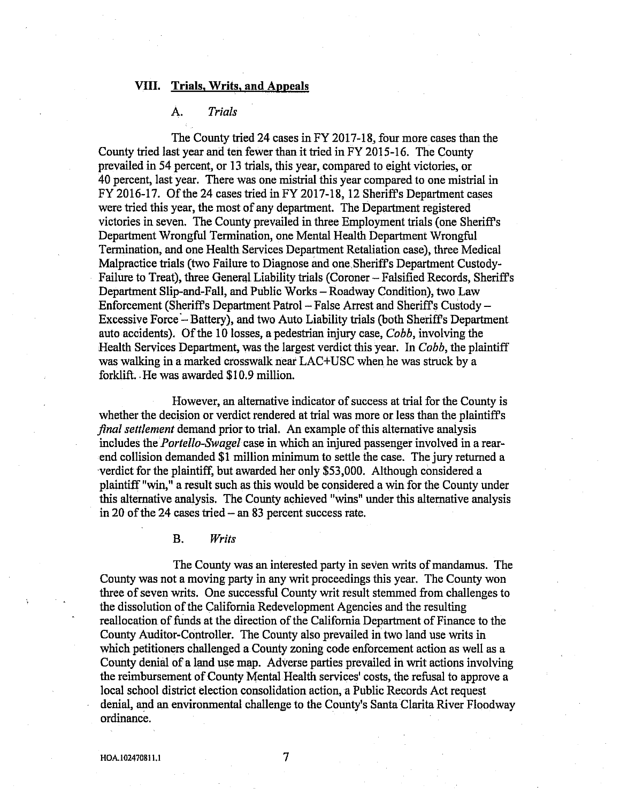## VIII. Trials, Writs, and Appeals

# A. Trials

The County tried 24 cases in FY 2017-18, four more cases than the County tried last year and ten fewer than it tried in FY 2015-16. The County prevailed in 54 percent, or 13 trials, this yeaz, compared to eight victories, or 40 percent, last year. There was one mistrial this year compared to one mistrial in FY 2016-17. Of the 24 cases tried in FY 2017-18, 12 Sheriffs Department cases were tried this yeaz, the most of any department. The Department registered victories in seven. The County prevailed in three Employment trials (one Sheriffs Department Wrongful Termination, one Mental. Health Department Wrongful Termination, and one Health. Services Department Retaliation case), three Medical Malpractice trials (two Failure to Diagnose and one SherifFs Department Custody-Failure to Treat), three General Liability trials (Coroner – Falsified Records, Sheriff's Departrnent Slip-and-Fall, and Public Works —Roadway Condifion), two Law Enforcement (Sheriffs Department Patrol —False. Arrest and Sheriffs Custody — Excessive Force —Battery), and two Auto Liability trials (both Sheriff s Department auto accidents). Of the 10 losses, a pedestrian injury case, Cobb, involving the Health Services Department, was the lazgest verdict this year. In Cobb, the plaintiff was walking in a marked crosswalk near LAC+USC when he was struck by a forklift..He was awarded \$10.9 million.

However, an alternative indicator of success at trial for the County is whether the decision or verdict rendered at trial was more or less than the plaintiff's final settlement demand prior to trial. An example of this alternative analysis includes the *Portello-Swagel*-case in which an injured passenger involved in a rearend collision demanded \$1 million minimum to settle the case. The jury returned a verdict for the plaintiff, but awarded her only \$53,000. Although considered a plaintiff "win," a result such. as this would be considered a win for the County under this alternarive analysis. The County achieved "wins" under this alternative analysis in 20 of the 24 cases tried  $-$  an 83 percent success rate.

B. Writs

The County was an interested party in seven writs of mandamus. The County was not a moving party in any writ proceedings this year. The County won three of seven writs. One successful County writ result stemmed from challenges to the dissolution of the California Redevelopment Agencies and the resulting reallocation of funds at the direction of the California Department of Finance to the County Auditor-Controller. The County also prevailed in. two land use writs in which petitioners challenged a County zoning code enforcement action as well as a County denial of a land use map. Adverse parties prevailed in writ actions involving the reimbursement of County Mental Health services' costs, the refusal to approve a local school district election consolidation action, a Public Records Act request denial, and an environmental challenge to the County's Santa Clarita River Floodway ordinance.